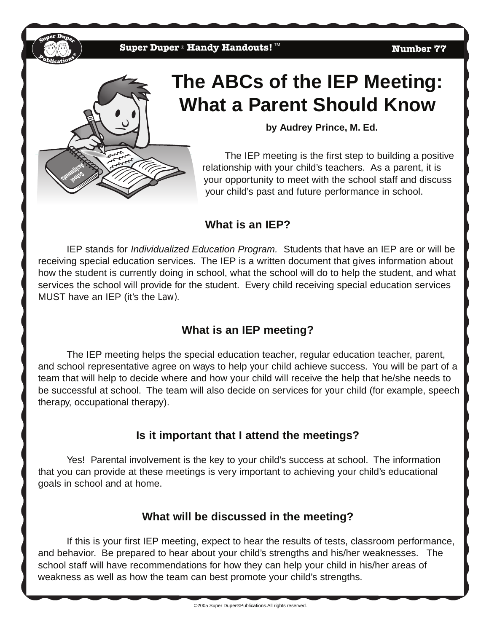

# **The ABCs of the IEP Meeting: What a Parent Should Know**

**by Audrey Prince, M. Ed.**

The IEP meeting is the first step to building a positive relationship with your child's teachers. As a parent, it is your opportunity to meet with the school staff and discuss your child's past and future performance in school.

#### **What is an IEP?**

IEP stands for *Individualized Education Program.* Students that have an IEP are or will be receiving special education services. The IEP is a written document that gives information about how the student is currently doing in school, what the school will do to help the student, and what services the school will provide for the student. Every child receiving special education services MUST have an IEP (it's the Law).

## **What is an IEP meeting?**

The IEP meeting helps the special education teacher, regular education teacher, parent, and school representative agree on ways to help your child achieve success. You will be part of a team that will help to decide where and how your child will receive the help that he/she needs to be successful at school. The team will also decide on services for your child (for example, speech therapy, occupational therapy).

#### **Is it important that I attend the meetings?**

Yes! Parental involvement is the key to your child's success at school. The information that you can provide at these meetings is very important to achieving your child's educational goals in school and at home.

#### **What will be discussed in the meeting?**

If this is your first IEP meeting, expect to hear the results of tests, classroom performance, and behavior. Be prepared to hear about your child's strengths and his/her weaknesses. The school staff will have recommendations for how they can help your child in his/her areas of weakness as well as how the team can best promote your child's strengths.